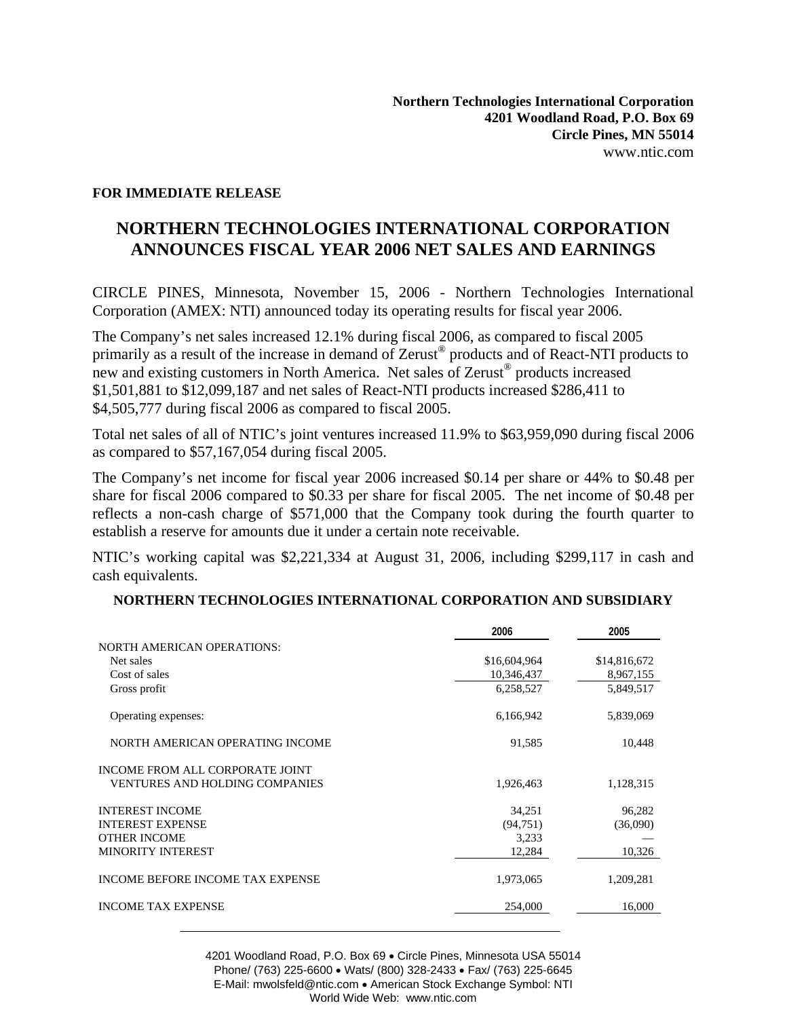## **FOR IMMEDIATE RELEASE**

## **NORTHERN TECHNOLOGIES INTERNATIONAL CORPORATION ANNOUNCES FISCAL YEAR 2006 NET SALES AND EARNINGS**

CIRCLE PINES, Minnesota, November 15, 2006 - Northern Technologies International Corporation (AMEX: NTI) announced today its operating results for fiscal year 2006.

The Company's net sales increased 12.1% during fiscal 2006, as compared to fiscal 2005 primarily as a result of the increase in demand of Zerust<sup>®</sup> products and of React-NTI products to new and existing customers in North America. Net sales of Zerust® products increased \$1,501,881 to \$12,099,187 and net sales of React-NTI products increased \$286,411 to \$4,505,777 during fiscal 2006 as compared to fiscal 2005.

Total net sales of all of NTIC's joint ventures increased 11.9% to \$63,959,090 during fiscal 2006 as compared to \$57,167,054 during fiscal 2005.

The Company's net income for fiscal year 2006 increased \$0.14 per share or 44% to \$0.48 per share for fiscal 2006 compared to \$0.33 per share for fiscal 2005. The net income of \$0.48 per reflects a non-cash charge of \$571,000 that the Company took during the fourth quarter to establish a reserve for amounts due it under a certain note receivable.

NTIC's working capital was \$2,221,334 at August 31, 2006, including \$299,117 in cash and cash equivalents.

|                                       | 2006         | 2005         |
|---------------------------------------|--------------|--------------|
| <b>NORTH AMERICAN OPERATIONS:</b>     |              |              |
| Net sales                             | \$16,604,964 | \$14,816,672 |
| Cost of sales                         | 10,346,437   | 8,967,155    |
| Gross profit                          | 6,258,527    | 5,849,517    |
| Operating expenses:                   | 6,166,942    | 5,839,069    |
| NORTH AMERICAN OPERATING INCOME       | 91,585       | 10,448       |
| INCOME FROM ALL CORPORATE JOINT       |              |              |
| <b>VENTURES AND HOLDING COMPANIES</b> | 1,926,463    | 1,128,315    |
| <b>INTEREST INCOME</b>                | 34,251       | 96,282       |
| <b>INTEREST EXPENSE</b>               | (94, 751)    | (36,090)     |
| <b>OTHER INCOME</b>                   | 3,233        |              |
| <b>MINORITY INTEREST</b>              | 12,284       | 10,326       |
| INCOME BEFORE INCOME TAX EXPENSE      | 1,973,065    | 1,209,281    |
| <b>INCOME TAX EXPENSE</b>             | 254,000      | 16,000       |

4201 Woodland Road, P.O. Box 69 • Circle Pines, Minnesota USA 55014 Phone/ (763) 225-6600 • Wats/ (800) 328-2433 • Fax/ (763) 225-6645 E-Mail: mwolsfeld@ntic.com • American Stock Exchange Symbol: NTI World Wide Web: www.ntic.com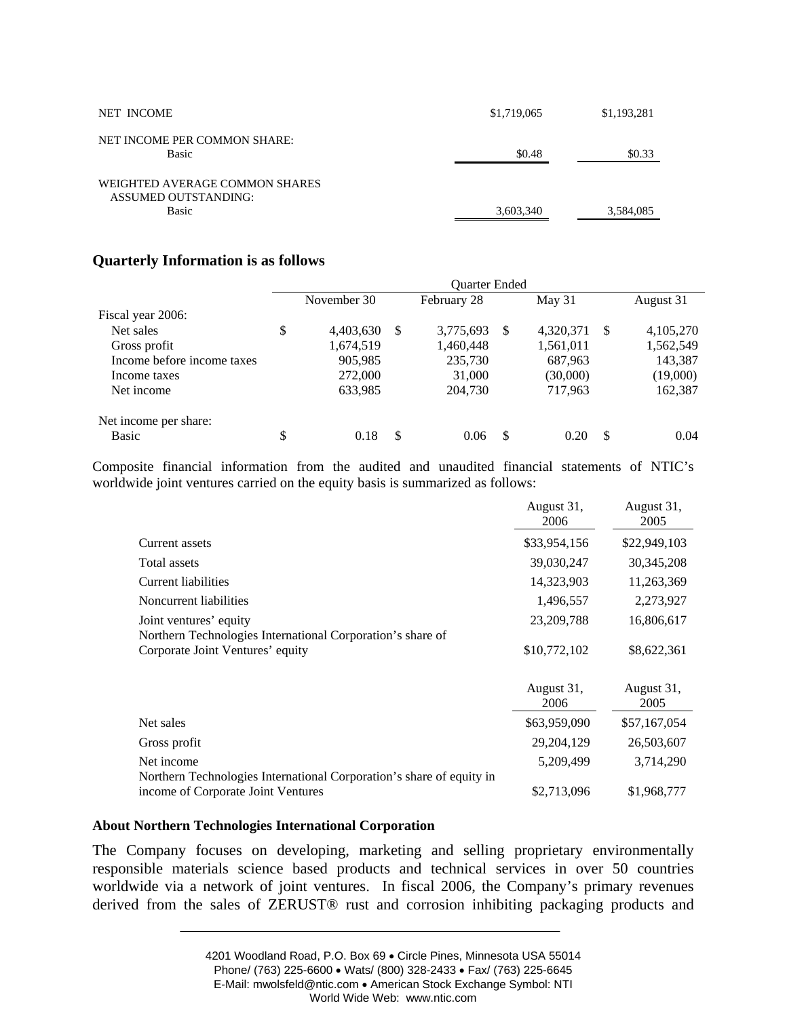| NET INCOME                                                             | \$1,719,065 | \$1,193,281 |
|------------------------------------------------------------------------|-------------|-------------|
| NET INCOME PER COMMON SHARE:<br><b>Basic</b>                           | \$0.48      | \$0.33      |
| WEIGHTED AVERAGE COMMON SHARES<br>ASSUMED OUTSTANDING:<br><b>Basic</b> | 3,603,340   | 3,584,085   |

## **Quarterly Information is as follows**

|                            |                 |          | <b>Ouarter Ended</b> |          |           |     |           |
|----------------------------|-----------------|----------|----------------------|----------|-----------|-----|-----------|
|                            | November 30     |          | February 28          |          | May 31    |     | August 31 |
| Fiscal year 2006:          |                 |          |                      |          |           |     |           |
| Net sales                  | \$<br>4,403,630 | -S       | 3,775,693            | <b>S</b> | 4,320,371 | \$. | 4,105,270 |
| Gross profit               | 1,674,519       |          | 1,460,448            |          | 1,561,011 |     | 1,562,549 |
| Income before income taxes | 905,985         |          | 235,730              |          | 687,963   |     | 143,387   |
| Income taxes               | 272,000         |          | 31,000               |          | (30,000)  |     | (19,000)  |
| Net income                 | 633,985         |          | 204,730              |          | 717,963   |     | 162,387   |
| Net income per share:      |                 |          |                      |          |           |     |           |
| Basic                      | \$<br>0.18      | <b>S</b> | 0.06                 | S        | 0.20      | -S  | 0.04      |

Composite financial information from the audited and unaudited financial statements of NTIC's worldwide joint ventures carried on the equity basis is summarized as follows:

|                                                                                                            | August 31,<br>2006 | August 31,<br>2005 |
|------------------------------------------------------------------------------------------------------------|--------------------|--------------------|
| Current assets                                                                                             | \$33,954,156       | \$22,949,103       |
| Total assets                                                                                               | 39,030,247         | 30,345,208         |
| Current liabilities                                                                                        | 14,323,903         | 11,263,369         |
| Noncurrent liabilities                                                                                     | 1,496,557          | 2,273,927          |
| Joint ventures' equity                                                                                     | 23,209,788         | 16,806,617         |
| Northern Technologies International Corporation's share of                                                 |                    |                    |
| Corporate Joint Ventures' equity                                                                           | \$10,772,102       | \$8,622,361        |
|                                                                                                            | August 31,<br>2006 | August 31,<br>2005 |
|                                                                                                            |                    |                    |
| Net sales                                                                                                  | \$63,959,090       | \$57,167,054       |
| Gross profit                                                                                               | 29,204,129         | 26,503,607         |
| Net income                                                                                                 | 5,209,499          | 3,714,290          |
| Northern Technologies International Corporation's share of equity in<br>income of Corporate Joint Ventures | \$2,713,096        | \$1,968,777        |

## **About Northern Technologies International Corporation**

The Company focuses on developing, marketing and selling proprietary environmentally responsible materials science based products and technical services in over 50 countries worldwide via a network of joint ventures. In fiscal 2006, the Company's primary revenues derived from the sales of ZERUST® rust and corrosion inhibiting packaging products and

<sup>4201</sup> Woodland Road, P.O. Box 69 • Circle Pines, Minnesota USA 55014 Phone/ (763) 225-6600 • Wats/ (800) 328-2433 • Fax/ (763) 225-6645 E-Mail: mwolsfeld@ntic.com • American Stock Exchange Symbol: NTI World Wide Web: www.ntic.com